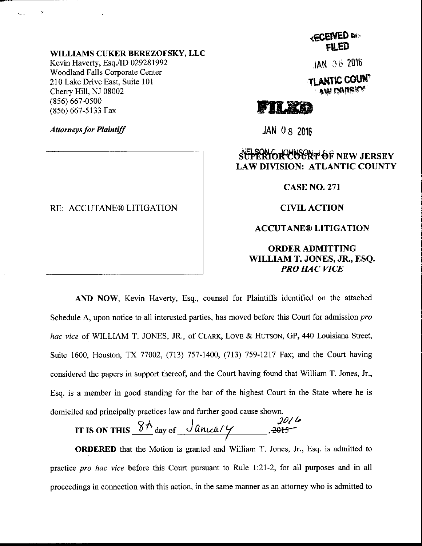#### WILLIAMS CIIKER BEREZOFSKY, LLC

Kevin Haverty, Esq./ID 029281992 Woodland Falls Corporate Center 210 Lake Drive East, Suite 101 Cherry Hill, NJ 08002 (8s6) 667-0500 (856) 667-5133 Fax

Attorneys for Plaintiff

### RE: ACCUTANE® LITIGATION

{ESEIVED u'' FILED

 $JAN$  0.8 2016

tlantic coun AW MARI

# Fn#m

 $JAN$  0  $8$  2016

## **SUPERIOR COORT OF NEW JERSEY** LAW DIVISION: ATLANTIC COUNTY

CASE NO.271

**CIVIL ACTION** 

### ACCUTANE@ LITIGATION

ORDERADMITTING WILLIAM T. JONES, JR., ESQ. PRO HAC VICE

AND NOW, Kevin Haverty, Esq., counsel for Plaintiffs identified on the attached Schedule A, upon notice to all interested parties, has moved before this Court for admission pro hac vice of WILLIAM T. JONES, JR., of CLARK, LOVE & HUTSON, GP, 440 Louisiana Street, Suite 1600, Houston, TX 77002, (713) 757-1400, (713) 759-1217 Fax; and the Court having considered the papers in support thereof; and the Court having found that William T. Jones, Jr., Esq. is a member in good standing for the bar of the highest Court in the State where he is domiciled and principally practices law and further good cause shown.

IT IS ON THIS  $\frac{8h}{\text{day of } \frac{\text{January}}{\text{Amount}}$ ,  $\frac{2016}{\text{9}}$ 

ORDERED that the Motion is granted and William T. Jones, Jr., Esq. is admitted to practice *pro hac vice* before this Court pursuant to Rule 1:21-2, for all purposes and in all proceedings in connection with this action, in the same manner as an attorney who is admitted to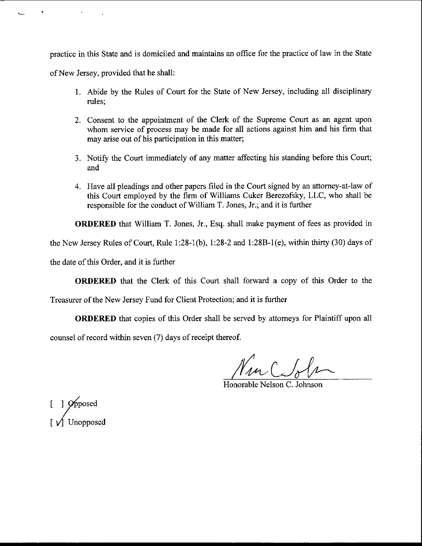practice in this State and is domiciled and maintains an office for the practice of law in the State

ofNew Jersey, provided that he shall:

- l. Abide by the Rules of Court for the State of New Jersey, including all disciplinary rules;
- 2. Consent to the appointment of the Clerk of the Supreme Court as an agent upon whom service of process may be made for all actions against him and his firm that may arise out of his participation in this matter;
- 3. Notify the Court immediately of any matter affecting his standing before this Court; and
- 4. Have all pleadings and other papers filed in the Court signed by an attomey-at-law of this Court employed by the firm of Williams Cuker Berezofsky, LLC, who shall be responsible for the conduct of William T. Jones, Jr.; and it is further

ORDERED that William T. Jones, Jr., Esq. shall make payment of fees as provided in

the New Jersey Rules of Court, Rule 1:28-1(b), I:28-2 ard l:288-1(e), within thirty (30) days of

the date of this Order, and it is further

ORDERED that the Clerk of this Court shall forward a copy of this Order to the

Treasurer of the New Jersey Fund for Client Protection; and it is further

ORDERED that copies of this Order shall be served by attomeys for Plaintiff upon all

counsel of record within seven (7) days of receipt thereof.

Nucebbe

Honorable Nelson C. Johnson

 $[1]$   $\cancel{\rho_{\text{pposed}}}$ [ y'] Unopposed